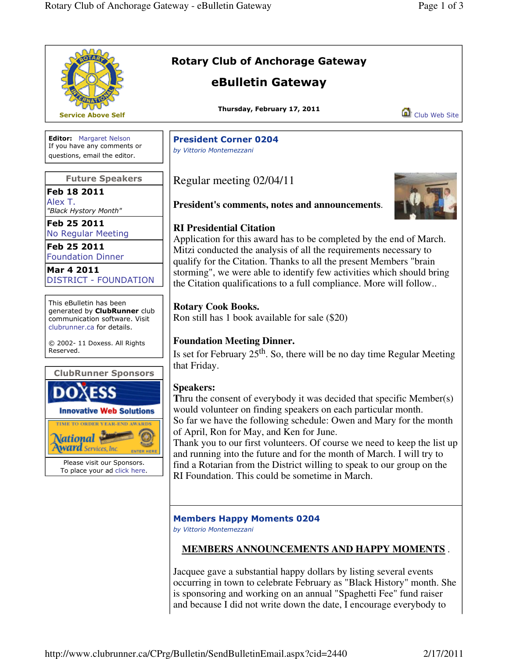|                                                                                                                                                                                      | <b>Rotary Club of Anchorage Gateway</b><br>eBulletin Gateway                                                                                                                                                                                                                                                                                                                                                                                                                                                                                                  |
|--------------------------------------------------------------------------------------------------------------------------------------------------------------------------------------|---------------------------------------------------------------------------------------------------------------------------------------------------------------------------------------------------------------------------------------------------------------------------------------------------------------------------------------------------------------------------------------------------------------------------------------------------------------------------------------------------------------------------------------------------------------|
| Service Above Self                                                                                                                                                                   | Thursday, February 17, 2011<br>Club Web Site                                                                                                                                                                                                                                                                                                                                                                                                                                                                                                                  |
| <b>Editor:</b> Margaret Nelson<br>If you have any comments or<br>questions, email the editor.                                                                                        | <b>President Corner 0204</b><br>by Vittorio Montemezzani                                                                                                                                                                                                                                                                                                                                                                                                                                                                                                      |
| <b>Future Speakers</b>                                                                                                                                                               | Regular meeting 02/04/11                                                                                                                                                                                                                                                                                                                                                                                                                                                                                                                                      |
| Feb 18 2011<br>Alex T.<br>"Black Hystory Month"                                                                                                                                      | President's comments, notes and announcements.                                                                                                                                                                                                                                                                                                                                                                                                                                                                                                                |
| Feb 25 2011<br><b>No Regular Meeting</b><br>Feb 25 2011<br><b>Foundation Dinner</b><br>Mar 4 2011<br><b>DISTRICT - FOUNDATION</b>                                                    | <b>RI Presidential Citation</b><br>Application for this award has to be completed by the end of March.<br>Mitzi conducted the analysis of all the requirements necessary to<br>qualify for the Citation. Thanks to all the present Members "brain<br>storming", we were able to identify few activities which should bring<br>the Citation qualifications to a full compliance. More will follow                                                                                                                                                              |
| This eBulletin has been<br>generated by ClubRunner club<br>communication software. Visit<br>clubrunner.ca for details.                                                               | <b>Rotary Cook Books.</b><br>Ron still has 1 book available for sale (\$20)                                                                                                                                                                                                                                                                                                                                                                                                                                                                                   |
| © 2002-11 Doxess. All Rights<br>Reserved.<br><b>ClubRunner Sponsors</b>                                                                                                              | <b>Foundation Meeting Dinner.</b><br>Is set for February $25th$ . So, there will be no day time Regular Meeting<br>that Friday.                                                                                                                                                                                                                                                                                                                                                                                                                               |
| <b>Innovative Web Solutions</b><br>TIME TO ORDER YEAR-END AWARDS<br>ational <del>P</del><br><b>ward</b> Services, Inc.<br>Please visit our Sponsors.<br>To place your ad click here. | <b>Speakers:</b><br>Thru the consent of everybody it was decided that specific Member(s)<br>would volunteer on finding speakers on each particular month.<br>So far we have the following schedule: Owen and Mary for the month<br>of April, Ron for May, and Ken for June.<br>Thank you to our first volunteers. Of course we need to keep the list up<br>and running into the future and for the month of March. I will try to<br>find a Rotarian from the District willing to speak to our group on the<br>RI Foundation. This could be sometime in March. |
|                                                                                                                                                                                      | <b>Members Happy Moments 0204</b><br>by Vittorio Montemezzani                                                                                                                                                                                                                                                                                                                                                                                                                                                                                                 |
|                                                                                                                                                                                      | <b>MEMBERS ANNOUNCEMENTS AND HAPPY MOMENTS</b>                                                                                                                                                                                                                                                                                                                                                                                                                                                                                                                |
|                                                                                                                                                                                      | Jacquee gave a substantial happy dollars by listing several events<br>occurring in town to celebrate February as "Black History" month. She<br>is sponsoring and working on an annual "Spaghetti Fee" fund raiser<br>and because I did not write down the date, I encourage everybody to                                                                                                                                                                                                                                                                      |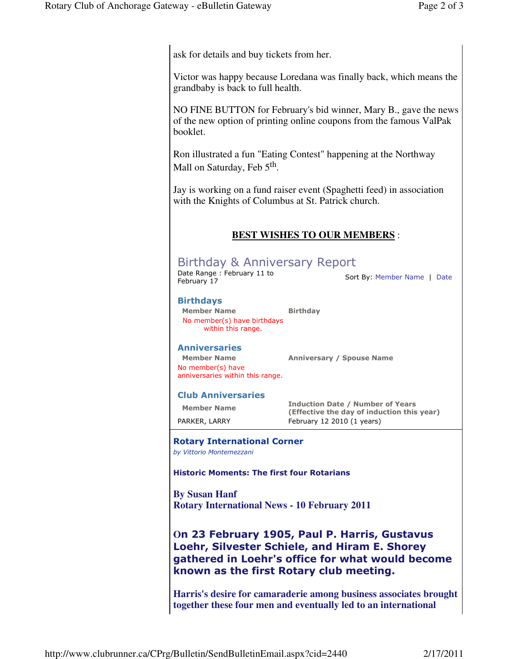ask for details and buy tickets from her.

Victor was happy because Loredana was finally back, which means the grandbaby is back to full health.

NO FINE BUTTON for February's bid winner, Mary B., gave the news of the new option of printing online coupons from the famous ValPak booklet.

Ron illustrated a fun "Eating Contest" happening at the Northway Mall on Saturday, Feb 5<sup>th</sup>.

Jay is working on a fund raiser event (Spaghetti feed) in association with the Knights of Columbus at St. Patrick church.

# **BEST WISHES TO OUR MEMBERS** :

# Birthday & Anniversary Report

Date Range : February 11 to Date Kange . February 11 to<br>February 17 February 17

## Birthdays

Member Name Birthday No member(s) have birthdays within this range.

## **Anniversaries**

No member(s) have anniversaries within this range.

Member Name Anniversary / Spouse Name

#### Club Anniversaries

Member Name **Induction Date / Number of Years** (Effective the day of induction this year) PARKER, LARRY February 12 2010 (1 years)

#### Rotary International Corner

by Vittorio Montemezzani

Historic Moments: The first four Rotarians

**By Susan Hanf Rotary International News - 10 February 2011** 

**O**n 23 February 1905, Paul P. Harris, Gustavus Loehr, Silvester Schiele, and Hiram E. Shorey gathered in Loehr's office for what would become known as the first Rotary club meeting.

**Harris's desire for camaraderie among business associates brought together these four men and eventually led to an international**